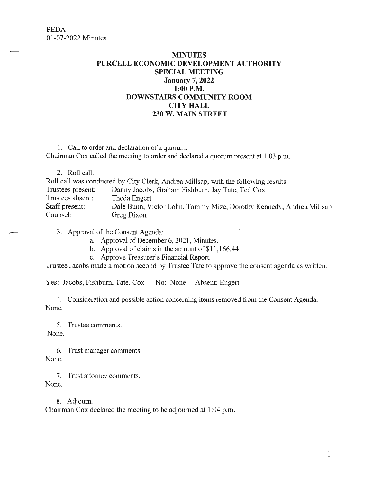## **MINUTES PURCELL ECONOMIC DEVELOPMENT AUTHORITY SPECIAL MEETING January 7, 2022 1:00 P.M. DOWNSTAIRS COMMUNITY ROOM CITY HALL 230 W. MAIN STREET**

1. Call to order and declaration of a quorum. Chairman Cox called the meeting to order and declared a quorum present at 1 :03 p.m.

2. Roll call.

Roll call was conducted by City Clerk, Andrea Millsap, with the following results: Trustees present: Danny Jacobs, Graham Fishburn, Jay Tate, Ted Cox Trustees absent: Theda Engert Staff present: Dale Bunn, Victor Lohn, Tommy Mize, Dorothy Kennedy, Andrea Millsap Counsel: Greg Dixon

3. Approval of the Consent Agenda:

a. Approval of December 6, 2021, Minutes.

b. Approval of claims in the amount of \$11,166.44.

c. Approve Treasurer's Financial Report.

Trustee Jacobs made a motion second by Trustee Tate to approve the consent agenda as written.

Yes: Jacobs, Fishburn, Tate, Cox No: None Absent: Engert

4. Consideration and possible action concerning items removed from the Consent Agenda. None.

5. Trustee comments. None.

6. Trust manager comments. None.

7. Trust attorney comments. None.

8. Adjourn. Chairman Cox declared the meeting to be adjourned at 1 :04 p.m.